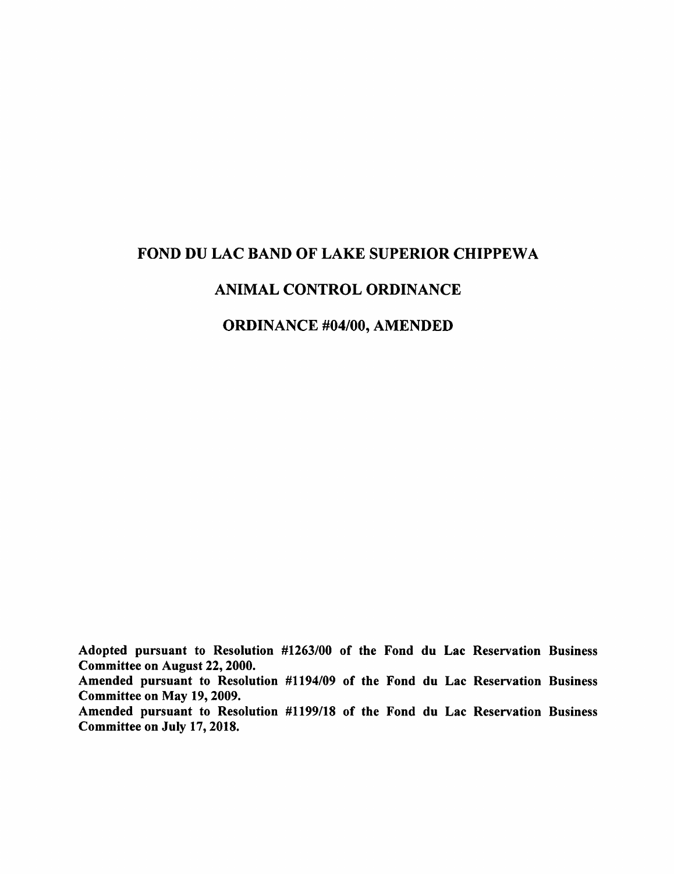## FOND DU LAC BAND OF LAKE SUPERIOR CHIPPEWA

#### ANIMAL CONTROL ORDINANCE

#### ORDINANCE #04/00, AMENDED

Adopted pursuant to Resolution #1263/00 of the Fond du Lac Reservation Business Committee on August 22,2000.

Amended pursuant to Resolution #1194/09 of the Fond du Lac Reservation Business Committee on May 19,2009.

Amended pursuant to Resolution #1199/18 of the Fond du Lac Reservation Business Committee on July 17,2018.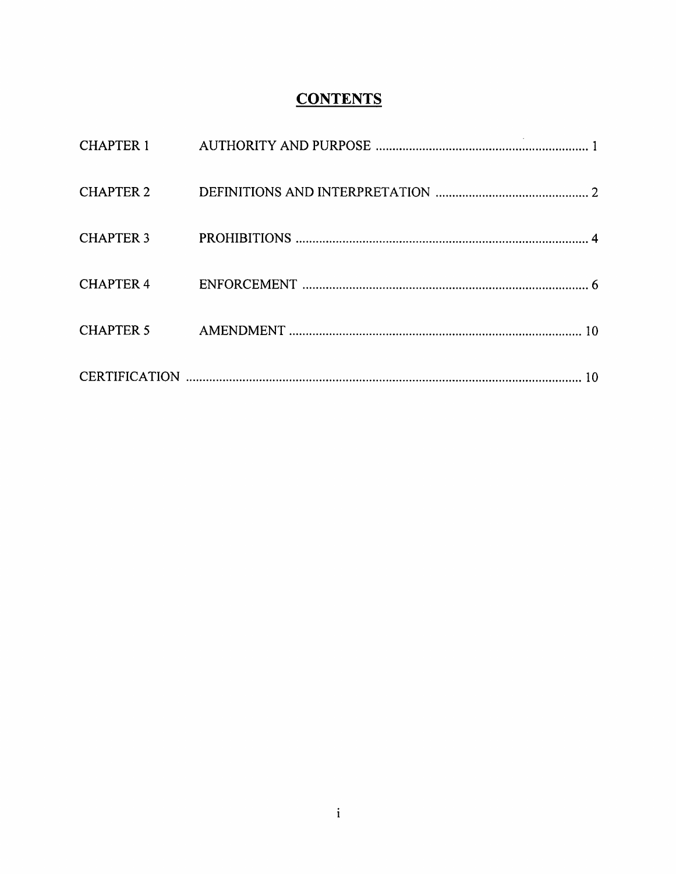# **CONTENTS**

| CHAPTER 2 |  |
|-----------|--|
| CHAPTER 3 |  |
| CHAPTER 4 |  |
| CHAPTER 5 |  |
|           |  |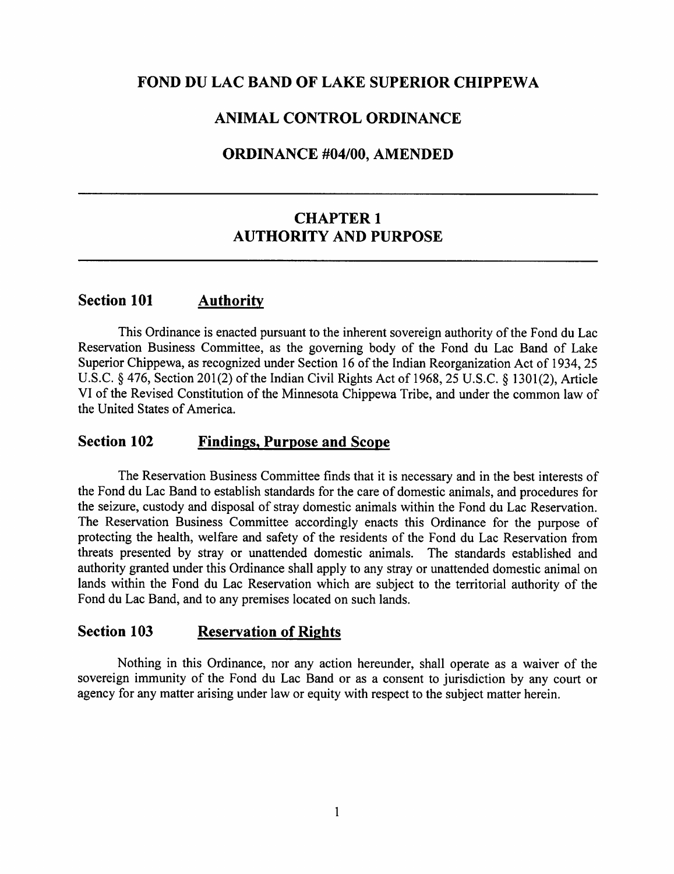## FOND DU LAC BAND OF LAKE SUPERIOR CHIPPEWA

#### ANIMAL CONTROL ORDINANCE

#### ORDINANCE #04/00, AMENDED

## CHAPTER 1 AUTHORITY AND PURPOSE

## Section 101 Authority

This Ordinance is enacted pursuant to the inherent sovereign authority of the Fond du Lac Reservation Business Committee, as the governing body of the Fond du Lac Band of Lake Superior Chippewa, as recognized under Section 16 of the Indian Reorganization Act of 1934, 25 U.S.C. § 476, Section 201(2) of the Indian Civil Rights Act of 1968, 25 U.S.C. § 1301(2), Article VI of the Revised Constitution of the Minnesota Chippewa Tribe, and under the common law of the United States of America.

#### Section 102 Findings, Purpose and Scope

The Reservation Business Committee finds that it is necessary and in the best interests of the Fond du Lac Band to establish standards for the care of domestic animals, and procedures for the seizure, custody and disposal of stray domestic animals within the Fond du Lac Reservation. The Reservation Business Committee accordingly enacts this Ordinance for the purpose of protecting the health, welfare and safety of the residents of the Fond du Lac Reservation from threats presented by stray or unattended domestic animals. The standards established and authority granted under this Ordinance shall apply to any stray or unattended domestic animal on lands within the Fond du Lac Reservation which are subject to the territorial authority of the Fond du Lac Band, and to any premises located on such lands.

#### Section 103 Reservation of Rights

Nothing in this Ordinance, nor any action hereunder, shall operate as a waiver of the sovereign immunity of the Fond du Lac Band or as a consent to jurisdiction by any court or agency for any matter arising under law or equity with respect to the subject matter herein.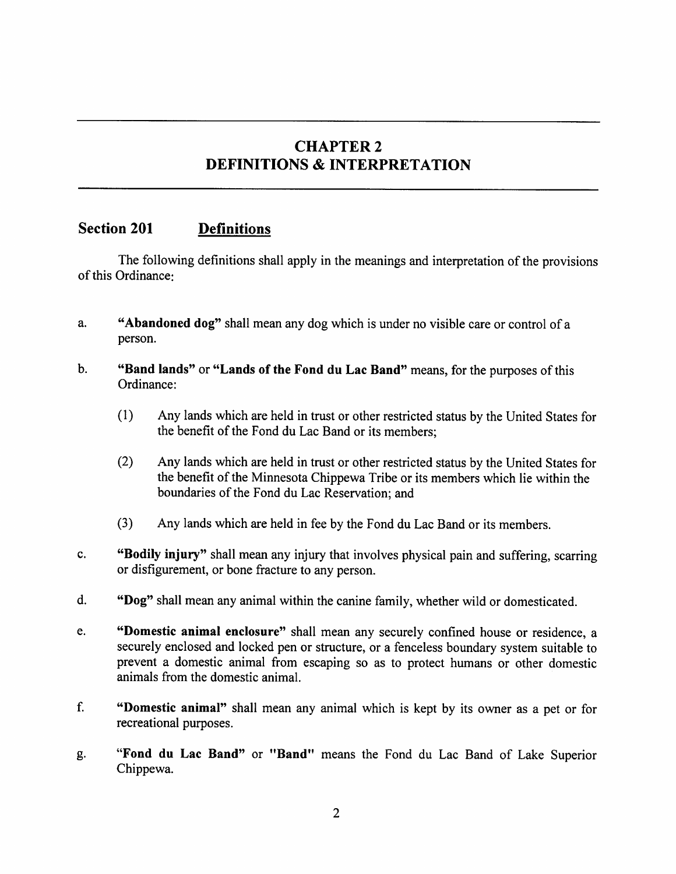## CHAPTER 2 DEFINITIONS & INTERPRETATION

## Section 201 Definitions

The following definitions shall apply in the meanings and interpretation of the provisions of this Ordinance:

- a. "Abandoned dog" shall mean any dog which is under no visible care or control of a person.
- b. "Band lands" or "Lands of the Fond du Lac Band" means, for the purposes of this Ordinance:
	- (1) Any lands which are held in trust or other restricted status by the United States for the benefit of the Fond du Lac Band or its members:
	- (2) Any lands which are held in trust or other restricted status by the United States for the benefit of the Minnesota Chippewa Tribe or its members which lie within the boundaries of the Fond du Lac Reservation; and
	- (3) Any lands which are held in fee by the Fond du Lac Band or its members.
- c. "Bodily injury" shall mean any injury that involves physical pain and suffering, scarring or disfigurement, or bone fracture to any person.
- d. "Dog" shall mean any animal within the canine family, whether wild or domesticated.
- e. "Domestic animal enclosure" shall mean any securely confined house or residence, a securely enclosed and locked pen or structure, or a fenceless boundary system suitable to prevent a domestic animal from escaping so as to protect humans or other domestic animals from the domestic animal.
- f. "Domestic animal" shall mean any animal which is kept by its owner as a pet or for recreational purposes.
- g. "Fond du Lac Band" or "Band" means the Fond du Lac Band of Lake Superior Chippewa.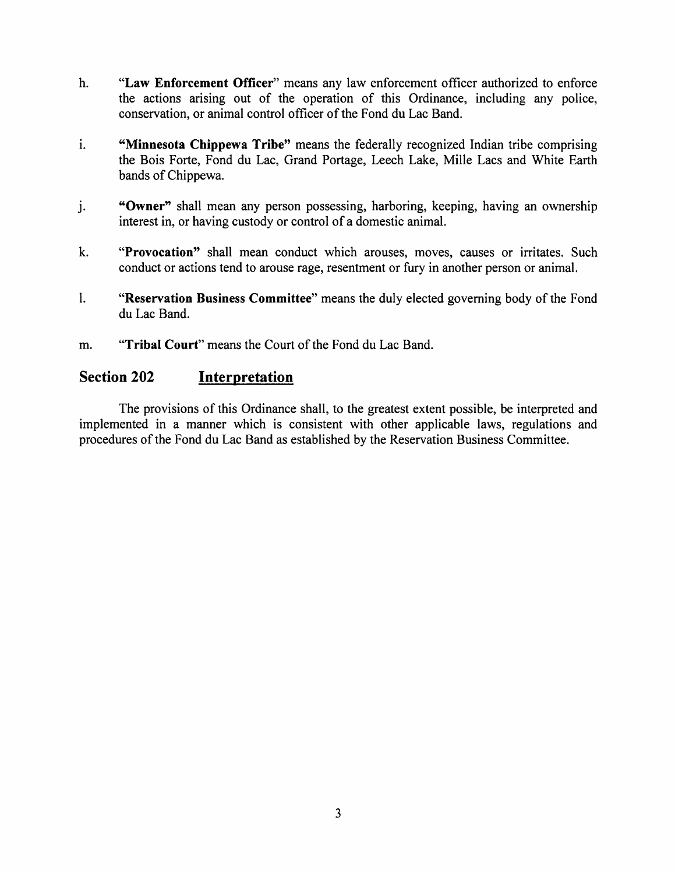- h. "Law Enforcement Officer" means any law enforcement officer authorized to enforce the actions arising out of the operation of this Ordinance, including any police, conservation, or animal control officer of the Fond du Lac Band.
- i. "Minnesota Chippewa Tribe" means the federally recognized Indian tribe comprising the Bois Forte, Fond du Lac, Grand Portage, Leech Lake, Mille Lacs and White Earth bands of Chippewa.
- j. "Owner" shall mean any person possessing, harboring, keeping, having an ownership interest in, or having custody or control of a domestic animal.
- k. "Provocation" shall mean conduct which arouses, moves, causes or irritates. Such conduct or actions tend to arouse rage, resentment or fury in another person or animal.
- 1. "Reservation Business Committee" means the duly elected governing body of the Fond du Lac Band.
- m. "Tribal Court" means the Court of the Fond du Lac Band.

#### Section 202 Interpretation

The provisions of this Ordinance shall, to the greatest extent possible, be interpreted and implemented in a manner which is consistent with other applicable laws, regulations and procedures of the Fond du Lac Band as established by the Reservation Business Committee.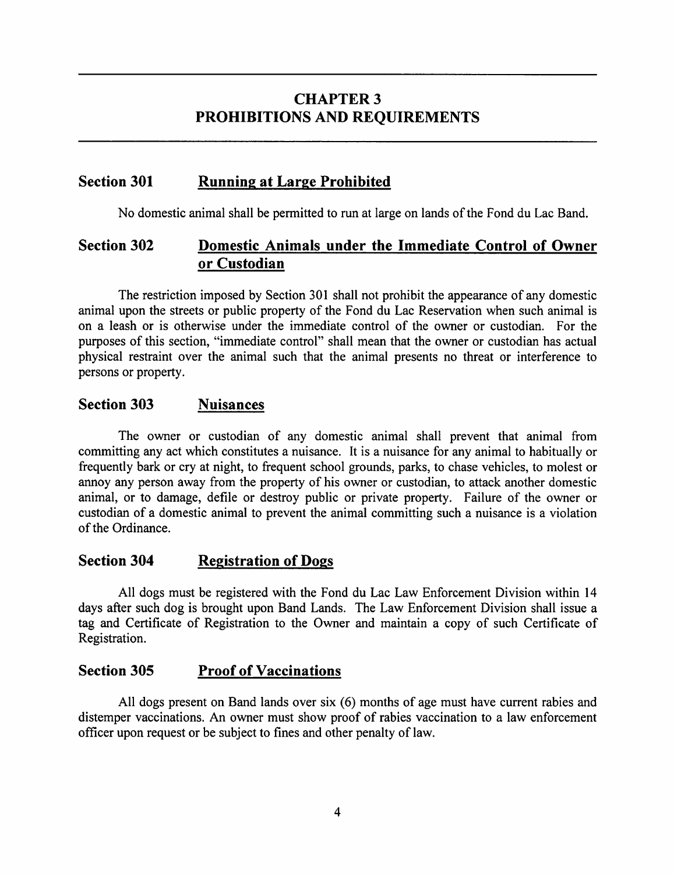## **CHAPTER 3** PROHIBITIONS AND REQUIREMENTS

## Section 301 Running at Large Prohibited

No domestic animal shall be permitted to run at large on lands of the Fond du Lac Band.

## Section 302 Domestic Animals under the Immediate Control of Owner or Custodian

The restriction imposed by Section 301 shall not prohibit the appearance of any domestic animal upon the streets or public property of the Fond du Lac Reservation when such animal is on a leash or is otherwise under the immediate control of the owner or custodian. For the purposes of this section, "immediate control" shall mean that the owner or custodian has actual physical restraint over the animal such that the animal presents no threat or interference to persons or property.

#### Section 303 Nuisances

The owner or custodian of any domestic animal shall prevent that animal from committing any act which constitutes a nuisance. It is a nuisance for any animal to habitually or frequently bark or cry at night, to frequent school grounds, parks, to chase vehicles, to molest or annoy any person away from the property of his owner or custodian, to attack another domestic animal, or to damage, defile or destroy public or private property. Failure of the owner or custodian of a domestic animal to prevent the animal committing such a nuisance is a violation of the Ordinance.

## Section 304 Registration of Dogs

All dogs must be registered with the Fond du Lac Law Enforcement Division within 14 days after such dog is brought upon Band Lands. The Law Enforcement Division shall issue a tag and Certificate of Registration to the Owner and maintain a copy of such Certificate of Registration.

#### Section 305 Proof of Vaccinations

All dogs present on Band lands over six (6) months of age must have current rabies and distemper vaccinations. An owner must show proof of rabies vaccination to a law enforcement officer upon request or be subject to fines and other penalty of law.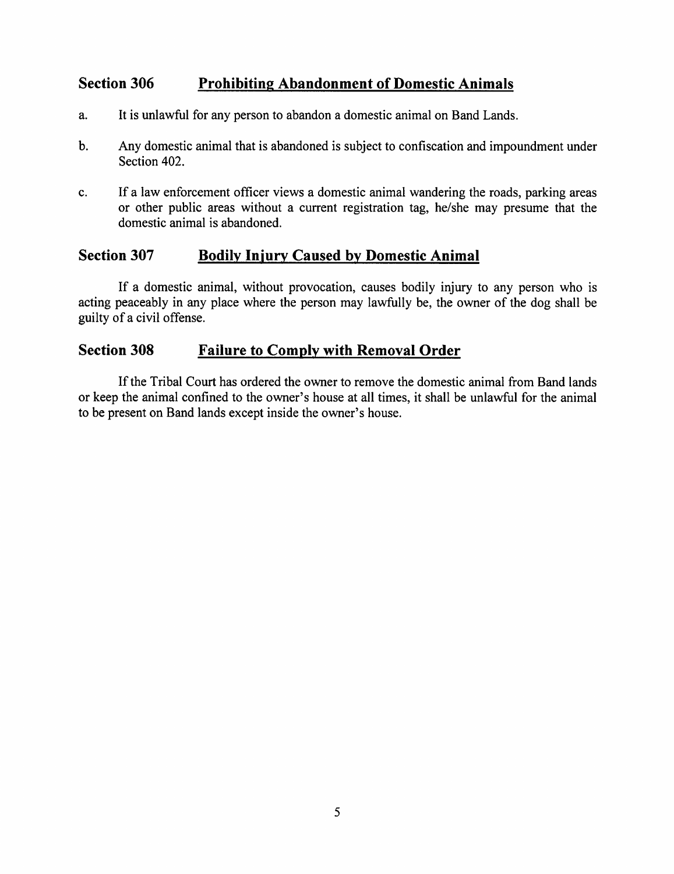## Section 306 Prohibiting Abandonment of Domestic Animals

- a. It is unlawful for any person to abandon a domestic animal on Band Lands.
- b. Any domestic animal that is abandoned is subject to confiscation and impoundment under Section 402.
- c. If a law enforcement officer views a domestic animal wandering the roads, parking areas or other public areas without a current registration tag, he/she may presume that the domestic animal is abandoned.

#### Section 307 Bodily Iniury Caused by Domestic Animal

If a domestic animal, without provocation, causes bodily injury to any person who is acting peaceably in any place where the person may lawfully be, the owner of the dog shall be guilty of a civil offense.

## Section 308 Failure to Comply with Removal Order

Ifthe Tribal Court has ordered the owner to remove the domestic animal from Band lands or keep the animal confined to the owner's house at all times, it shall be unlawful for the animal to be present on Band lands except inside the owner's house.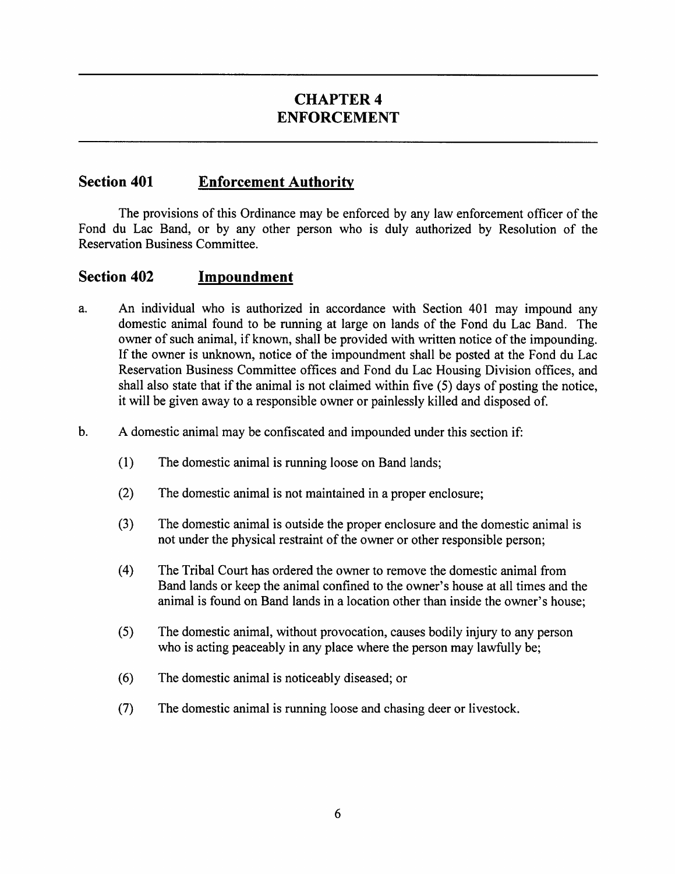## CHAPTER 4 ENFORCEMENT

### Section 401 Enforcement Authority

The provisions of this Ordinance may be enforced by any law enforcement officer of the Fond du Lac Band, or by any other person who is duly authorized by Resolution of the Reservation Business Committee.

#### Section 402 Impoundment

- a. An individual who is authorized in accordance with Section 401 may impound any domestic animal found to be running at large on lands of the Fond du Lac Band. The owner of such animal, if known, shall be provided with written notice of the impounding. If the owner is unknown, notice of the impoundment shall be posted at the Fond du Lac Reservation Business Committee offices and Fond du Lac Housing Division offices, and shall also state that if the animal is not claimed within five  $(5)$  days of posting the notice, it will be given away to a responsible owner or painlessly killed and disposed of.
- b. A domestic animal may be confiscated and impounded under this section if:
	- (1) The domestic animal is running loose on Band lands;
	- (2) The domestic animal is not maintained in a proper enclosure;
	- (3) The domestic animal is outside the proper enclosure and the domestic animal is not under the physical restraint of the owner or other responsible person;
	- (4) The Tribal Court has ordered the owner to remove the domestic animal from Band lands or keep the animal confined to the owner's house at all times and the animal is found on Band lands in a location other than inside the owner's house;
	- (5) The domestic animal, without provocation, causes bodily injury to any person who is acting peaceably in any place where the person may lawfully be;
	- (6) The domestic animal is noticeably diseased; or
	- (7) The domestic animal is running loose and chasing deer or livestock.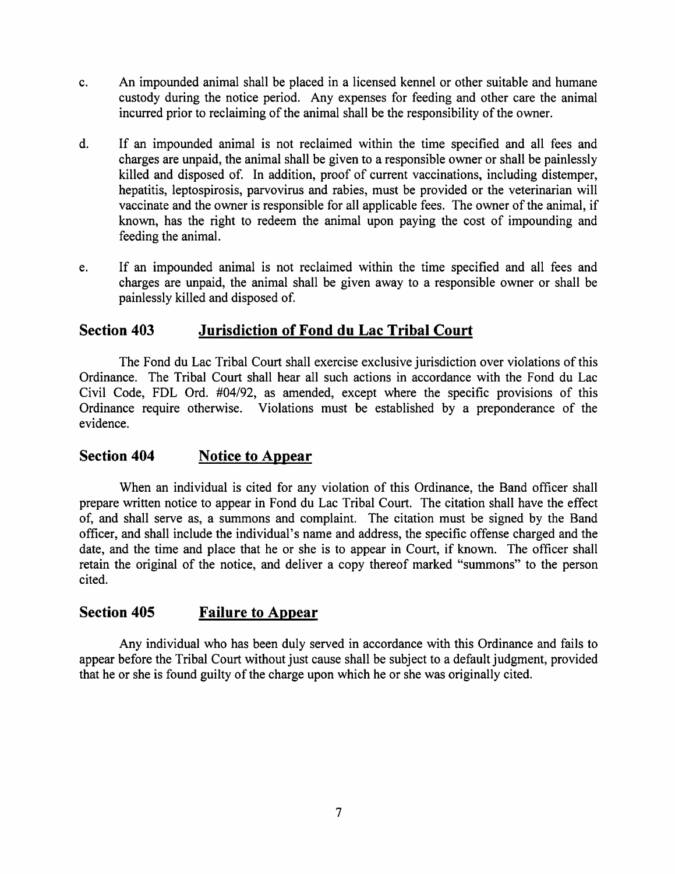- c. An impounded animal shall be placed in a licensed kennel or other suitable and humane custody during the notice period. Any expenses for feeding and other care the animal incurred prior to reclaiming of the animal shall be the responsibility of the owner.
- d. If an impounded animal is not reclaimed within the time specified and all fees and charges are unpaid, the animal shall be given to a responsible owner or shall be painlessly killed and disposed of. In addition, proof of current vaccinations, including distemper, hepatitis, leptospirosis, parvovirus and rabies, must be provided or the veterinarian will vaccinate and the owner is responsible for all applicable fees. The owner of the animal, if known, has the right to redeem the animal upon paying the cost of impounding and feeding the animal.
- e. If an impounded animal is not reclaimed within the time specified and all fees and charges are unpaid, the animal shall be given away to a responsible owner or shall be painlessly killed and disposed of.

## Section 403 Jurisdiction of Fond du Lac Tribal Court

The Fond du Lac Tribal Court shall exercise exclusive jurisdiction over violations ofthis Ordinance. The Tribal Court shall hear all such actions in accordance with the Fond du Lac Civil Code, FDL Ord. #04/92, as amended, except where the specific provisions of this Ordinance require otherwise. Violations must be established by a preponderance of the evidence.

## Section 404 Notice to Appear

When an individual is cited for any violation of this Ordinance, the Band officer shall prepare written notice to appear in Fond du Lac Tribal Court. The citation shall have the effect of, and shall serve as, a summons and complaint. The citation must be signed by the Band officer, and shall include the individual's name and address, the specific offense charged and the date, and the time and place that he or she is to appear in Court, if known. The officer shall retain the original of the notice, and deliver a copy thereof marked "summons" to the person cited.

## Section 405 Failure to Appear

Any individual who has been duly served in accordance with this Ordinance and fails to appear before the Tribal Court without just cause shall be subject to a default judgment, provided that he or she is found guilty of the charge upon which he or she was originally cited.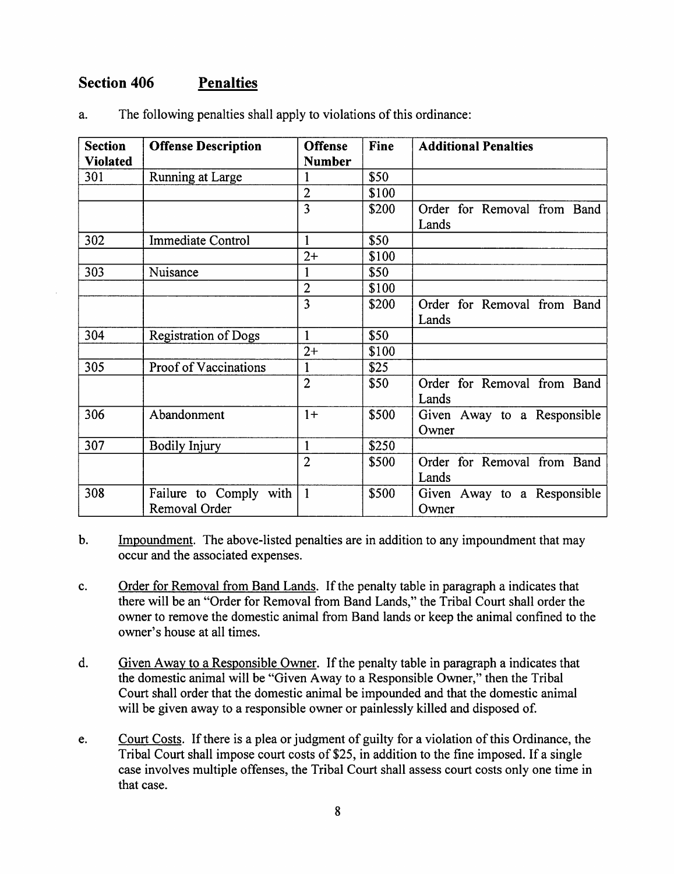## Section 406 Penalties

| <b>Section</b><br><b>Offense Description</b> |                             | <b>Offense</b> | Fine  | <b>Additional Penalties</b> |
|----------------------------------------------|-----------------------------|----------------|-------|-----------------------------|
| <b>Violated</b>                              |                             | <b>Number</b>  |       |                             |
| 301                                          | Running at Large            | 1              | \$50  |                             |
|                                              |                             | $\overline{2}$ | \$100 |                             |
|                                              |                             | 3              | \$200 | Order for Removal from Band |
|                                              |                             |                |       | Lands                       |
| 302                                          | <b>Immediate Control</b>    | $\mathbf{1}$   | \$50  |                             |
|                                              |                             | $2+$           | \$100 |                             |
| 303                                          | Nuisance                    | 1              | \$50  |                             |
|                                              |                             | 2              | \$100 |                             |
|                                              |                             | 3              | \$200 | Order for Removal from Band |
|                                              |                             |                |       | Lands                       |
| 304                                          | <b>Registration of Dogs</b> | 1              | \$50  |                             |
|                                              |                             | $2+$           | \$100 |                             |
| 305                                          | Proof of Vaccinations       | 1              | \$25  |                             |
|                                              |                             | $\overline{2}$ | \$50  | Order for Removal from Band |
|                                              |                             |                |       | Lands                       |
| 306                                          | Abandonment                 | $1+$           | \$500 | Given Away to a Responsible |
|                                              |                             |                |       | Owner                       |
| 307                                          | <b>Bodily Injury</b>        | 1              | \$250 |                             |
|                                              |                             | $\overline{2}$ | \$500 | Order for Removal from Band |
|                                              |                             |                |       | Lands                       |
| 308                                          | Failure to Comply with      | $\mathbf{1}$   | \$500 | Given Away to a Responsible |
|                                              | Removal Order               |                |       | Owner                       |

The following penalties shall apply to violations of this ordinance: a.

Impoundment. The above-listed penalties are in addition to any impoundment that may  $\mathbf b$ . occur and the associated expenses.

- Order for Removal from Band Lands. If the penalty table in paragraph a indicates that  $\mathbf{c}$ . there will be an "Order for Removal from Band Lands," the Tribal Court shall order the owner to remove the domestic animal from Band lands or keep the animal confined to the owner's house at all times.
- Given Away to a Responsible Owner. If the penalty table in paragraph a indicates that d. the domestic animal will be "Given Away to a Responsible Owner," then the Tribal Court shall order that the domestic animal be impounded and that the domestic animal will be given away to a responsible owner or painlessly killed and disposed of.
- Court Costs. If there is a plea or judgment of guilty for a violation of this Ordinance, the e. Tribal Court shall impose court costs of \$25, in addition to the fine imposed. If a single case involves multiple offenses, the Tribal Court shall assess court costs only one time in that case.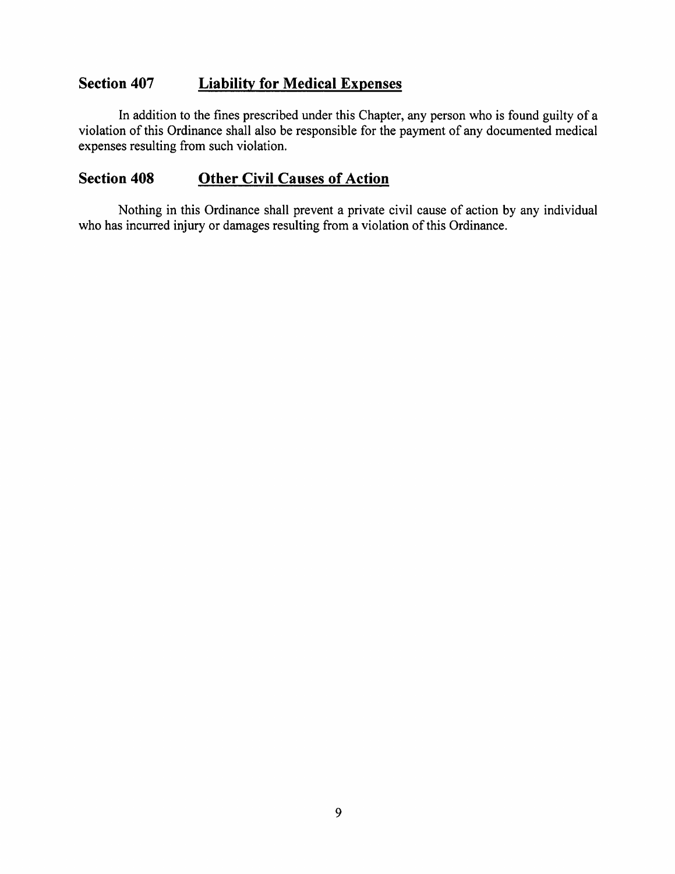## Section 407 Liability for Medical Expenses

In addition to the fines prescribed under this Chapter, any person who is found guilty of a violation of this Ordinance shall also be responsible for the payment of any documented medical expenses resulting from such violation.

## Section 408 Other Civil Causes of Action

Nothing in this Ordinance shall prevent a private civil cause of action by any individual who has incurred injury or damages resulting from a violation of this Ordinance.